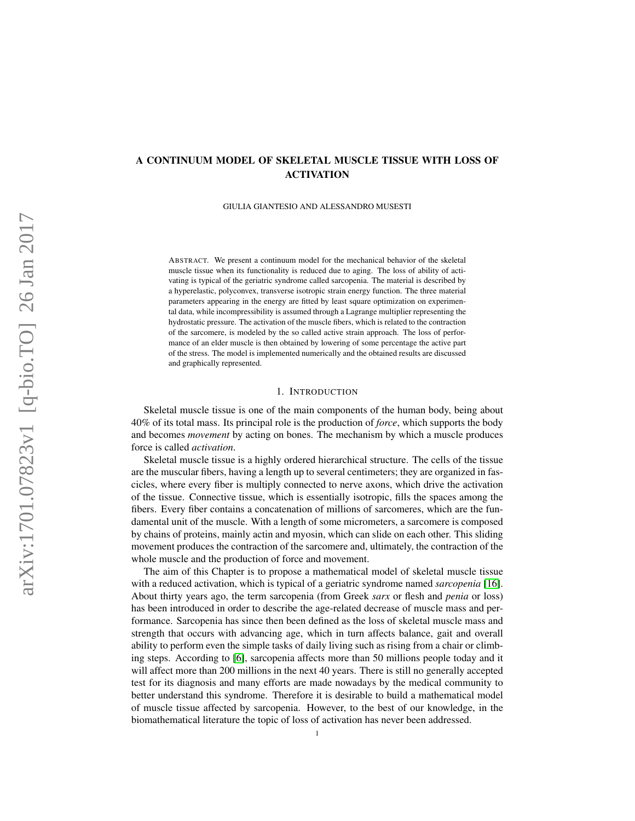# A CONTINUUM MODEL OF SKELETAL MUSCLE TISSUE WITH LOSS OF ACTIVATION

GIULIA GIANTESIO AND ALESSANDRO MUSESTI

ABSTRACT. We present a continuum model for the mechanical behavior of the skeletal muscle tissue when its functionality is reduced due to aging. The loss of ability of activating is typical of the geriatric syndrome called sarcopenia. The material is described by a hyperelastic, polyconvex, transverse isotropic strain energy function. The three material parameters appearing in the energy are fitted by least square optimization on experimental data, while incompressibility is assumed through a Lagrange multiplier representing the hydrostatic pressure. The activation of the muscle fibers, which is related to the contraction of the sarcomere, is modeled by the so called active strain approach. The loss of performance of an elder muscle is then obtained by lowering of some percentage the active part of the stress. The model is implemented numerically and the obtained results are discussed and graphically represented.

## 1. INTRODUCTION

Skeletal muscle tissue is one of the main components of the human body, being about 40% of its total mass. Its principal role is the production of *force*, which supports the body and becomes *movement* by acting on bones. The mechanism by which a muscle produces force is called *activation*.

Skeletal muscle tissue is a highly ordered hierarchical structure. The cells of the tissue are the muscular fibers, having a length up to several centimeters; they are organized in fascicles, where every fiber is multiply connected to nerve axons, which drive the activation of the tissue. Connective tissue, which is essentially isotropic, fills the spaces among the fibers. Every fiber contains a concatenation of millions of sarcomeres, which are the fundamental unit of the muscle. With a length of some micrometers, a sarcomere is composed by chains of proteins, mainly actin and myosin, which can slide on each other. This sliding movement produces the contraction of the sarcomere and, ultimately, the contraction of the whole muscle and the production of force and movement.

The aim of this Chapter is to propose a mathematical model of skeletal muscle tissue with a reduced activation, which is typical of a geriatric syndrome named *sarcopenia* [\[16\]](#page-15-0). About thirty years ago, the term sarcopenia (from Greek *sarx* or flesh and *penia* or loss) has been introduced in order to describe the age-related decrease of muscle mass and performance. Sarcopenia has since then been defined as the loss of skeletal muscle mass and strength that occurs with advancing age, which in turn affects balance, gait and overall ability to perform even the simple tasks of daily living such as rising from a chair or climbing steps. According to [\[6\]](#page-15-1), sarcopenia affects more than 50 millions people today and it will affect more than 200 millions in the next 40 years. There is still no generally accepted test for its diagnosis and many efforts are made nowadays by the medical community to better understand this syndrome. Therefore it is desirable to build a mathematical model of muscle tissue affected by sarcopenia. However, to the best of our knowledge, in the biomathematical literature the topic of loss of activation has never been addressed.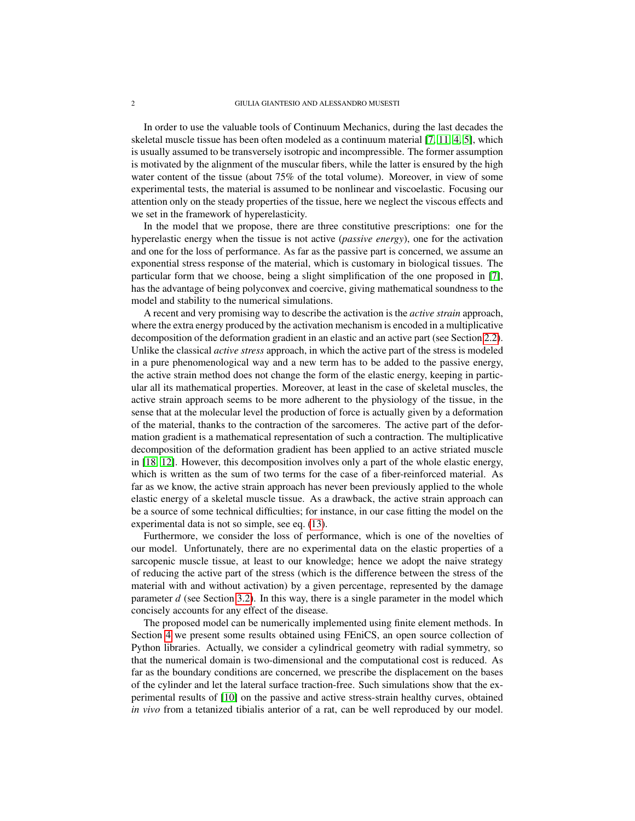In order to use the valuable tools of Continuum Mechanics, during the last decades the skeletal muscle tissue has been often modeled as a continuum material [\[7,](#page-15-2) [11,](#page-15-3) [4,](#page-15-4) [5\]](#page-15-5), which is usually assumed to be transversely isotropic and incompressible. The former assumption is motivated by the alignment of the muscular fibers, while the latter is ensured by the high water content of the tissue (about 75% of the total volume). Moreover, in view of some experimental tests, the material is assumed to be nonlinear and viscoelastic. Focusing our attention only on the steady properties of the tissue, here we neglect the viscous effects and we set in the framework of hyperelasticity.

In the model that we propose, there are three constitutive prescriptions: one for the hyperelastic energy when the tissue is not active (*passive energy*), one for the activation and one for the loss of performance. As far as the passive part is concerned, we assume an exponential stress response of the material, which is customary in biological tissues. The particular form that we choose, being a slight simplification of the one proposed in [\[7\]](#page-15-2), has the advantage of being polyconvex and coercive, giving mathematical soundness to the model and stability to the numerical simulations.

A recent and very promising way to describe the activation is the *active strain* approach, where the extra energy produced by the activation mechanism is encoded in a multiplicative decomposition of the deformation gradient in an elastic and an active part (see Section [2.2\)](#page-5-0). Unlike the classical *active stress* approach, in which the active part of the stress is modeled in a pure phenomenological way and a new term has to be added to the passive energy, the active strain method does not change the form of the elastic energy, keeping in particular all its mathematical properties. Moreover, at least in the case of skeletal muscles, the active strain approach seems to be more adherent to the physiology of the tissue, in the sense that at the molecular level the production of force is actually given by a deformation of the material, thanks to the contraction of the sarcomeres. The active part of the deformation gradient is a mathematical representation of such a contraction. The multiplicative decomposition of the deformation gradient has been applied to an active striated muscle in [\[18,](#page-15-6) [12\]](#page-15-7). However, this decomposition involves only a part of the whole elastic energy, which is written as the sum of two terms for the case of a fiber-reinforced material. As far as we know, the active strain approach has never been previously applied to the whole elastic energy of a skeletal muscle tissue. As a drawback, the active strain approach can be a source of some technical difficulties; for instance, in our case fitting the model on the experimental data is not so simple, see eq. [\(13\)](#page-10-0).

Furthermore, we consider the loss of performance, which is one of the novelties of our model. Unfortunately, there are no experimental data on the elastic properties of a sarcopenic muscle tissue, at least to our knowledge; hence we adopt the naive strategy of reducing the active part of the stress (which is the difference between the stress of the material with and without activation) by a given percentage, represented by the damage parameter *d* (see Section [3.2\)](#page-10-1). In this way, there is a single parameter in the model which concisely accounts for any effect of the disease.

The proposed model can be numerically implemented using finite element methods. In Section [4](#page-10-2) we present some results obtained using FEniCS, an open source collection of Python libraries. Actually, we consider a cylindrical geometry with radial symmetry, so that the numerical domain is two-dimensional and the computational cost is reduced. As far as the boundary conditions are concerned, we prescribe the displacement on the bases of the cylinder and let the lateral surface traction-free. Such simulations show that the experimental results of [\[10\]](#page-15-8) on the passive and active stress-strain healthy curves, obtained *in vivo* from a tetanized tibialis anterior of a rat, can be well reproduced by our model.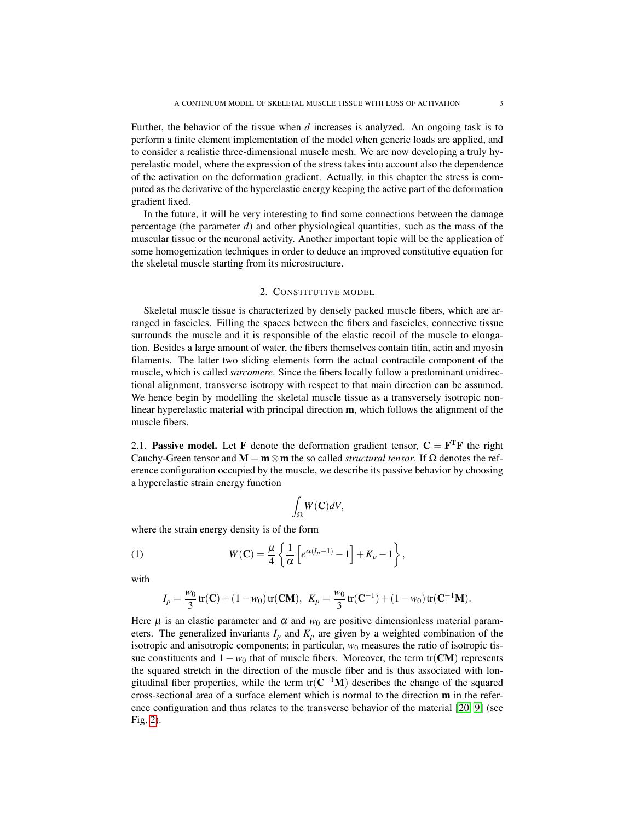Further, the behavior of the tissue when *d* increases is analyzed. An ongoing task is to perform a finite element implementation of the model when generic loads are applied, and to consider a realistic three-dimensional muscle mesh. We are now developing a truly hyperelastic model, where the expression of the stress takes into account also the dependence of the activation on the deformation gradient. Actually, in this chapter the stress is computed as the derivative of the hyperelastic energy keeping the active part of the deformation gradient fixed.

In the future, it will be very interesting to find some connections between the damage percentage (the parameter *d*) and other physiological quantities, such as the mass of the muscular tissue or the neuronal activity. Another important topic will be the application of some homogenization techniques in order to deduce an improved constitutive equation for the skeletal muscle starting from its microstructure.

## 2. CONSTITUTIVE MODEL

Skeletal muscle tissue is characterized by densely packed muscle fibers, which are arranged in fascicles. Filling the spaces between the fibers and fascicles, connective tissue surrounds the muscle and it is responsible of the elastic recoil of the muscle to elongation. Besides a large amount of water, the fibers themselves contain titin, actin and myosin filaments. The latter two sliding elements form the actual contractile component of the muscle, which is called *sarcomere*. Since the fibers locally follow a predominant unidirectional alignment, transverse isotropy with respect to that main direction can be assumed. We hence begin by modelling the skeletal muscle tissue as a transversely isotropic nonlinear hyperelastic material with principal direction m, which follows the alignment of the muscle fibers.

2.1. Passive model. Let F denote the deformation gradient tensor,  $C = F^T F$  the right Cauchy-Green tensor and  $M = m \otimes m$  the so called *structural tensor*. If  $\Omega$  denotes the reference configuration occupied by the muscle, we describe its passive behavior by choosing a hyperelastic strain energy function

<span id="page-2-0"></span>
$$
\int_{\Omega} W(\mathbf{C}) dV,
$$

where the strain energy density is of the form

(1) 
$$
W(\mathbf{C}) = \frac{\mu}{4} \left\{ \frac{1}{\alpha} \left[ e^{\alpha(I_p - 1)} - 1 \right] + K_p - 1 \right\},
$$

with

<span id="page-2-1"></span>
$$
I_p = \frac{w_0}{3} tr(C) + (1 - w_0) tr(CM), \ \ K_p = \frac{w_0}{3} tr(C^{-1}) + (1 - w_0) tr(C^{-1}M).
$$

Here  $\mu$  is an elastic parameter and  $\alpha$  and  $w_0$  are positive dimensionless material parameters. The generalized invariants  $I_p$  and  $K_p$  are given by a weighted combination of the isotropic and anisotropic components; in particular,  $w_0$  measures the ratio of isotropic tissue constituents and  $1 - w_0$  that of muscle fibers. Moreover, the term tr(**CM**) represents the squared stretch in the direction of the muscle fiber and is thus associated with longitudinal fiber properties, while the term tr $(C^{-1}M)$  describes the change of the squared cross-sectional area of a surface element which is normal to the direction m in the reference configuration and thus relates to the transverse behavior of the material [\[20,](#page-15-9) [9\]](#page-15-10) (see Fig. [2\)](#page-4-0).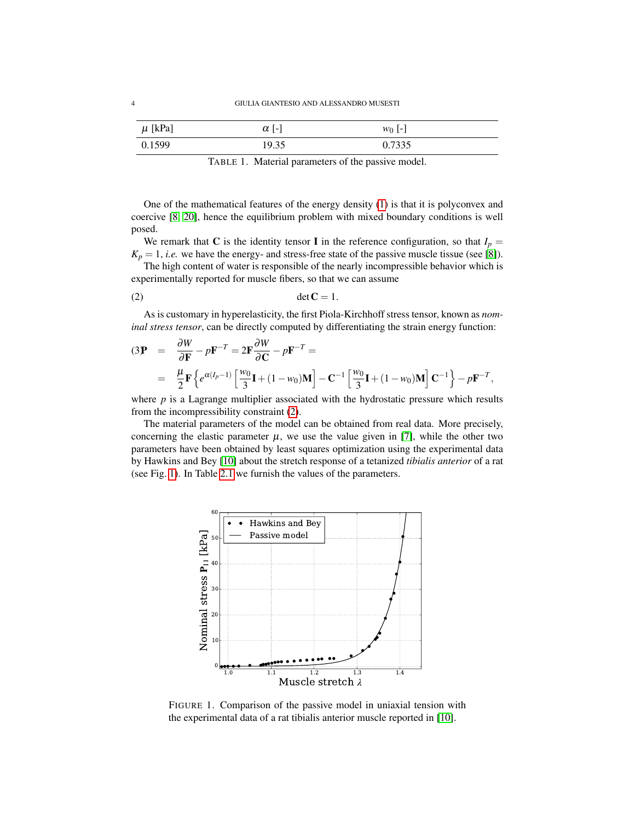| $\mu$ [kPa] | $\alpha$ [-] | $w_0$ [-] |
|-------------|--------------|-----------|
| 0.1599      | 19.35        | 0.7335    |

TABLE 1. Material parameters of the passive model.

One of the mathematical features of the energy density [\(1\)](#page-2-0) is that it is polyconvex and coercive [\[8,](#page-15-11) [20\]](#page-15-9), hence the equilibrium problem with mixed boundary conditions is well posed.

We remark that C is the identity tensor I in the reference configuration, so that  $I_p =$  $K_p = 1$ , *i.e.* we have the energy- and stress-free state of the passive muscle tissue (see [\[8\]](#page-15-11)).

The high content of water is responsible of the nearly incompressible behavior which is experimentally reported for muscle fibers, so that we can assume

$$
(2) \t\t det C = 1.
$$

As is customary in hyperelasticity, the first Piola-Kirchhoff stress tensor, known as *nominal stress tensor*, can be directly computed by differentiating the strain energy function:

<span id="page-3-1"></span>
$$
(3\mathbf{P} = \frac{\partial W}{\partial \mathbf{F}} - p\mathbf{F}^{-T} = 2\mathbf{F}\frac{\partial W}{\partial \mathbf{C}} - p\mathbf{F}^{-T} =
$$
  
=  $\frac{\mu}{2}\mathbf{F}\left\{e^{\alpha(I_p-1)}\left[\frac{w_0}{3}\mathbf{I} + (1-w_0)\mathbf{M}\right] - \mathbf{C}^{-1}\left[\frac{w_0}{3}\mathbf{I} + (1-w_0)\mathbf{M}\right]\mathbf{C}^{-1}\right\} - p\mathbf{F}^{-T},$ 

where  $p$  is a Lagrange multiplier associated with the hydrostatic pressure which results from the incompressibility constraint [\(2\)](#page-2-1).

The material parameters of the model can be obtained from real data. More precisely, concerning the elastic parameter  $\mu$ , we use the value given in [\[7\]](#page-15-2), while the other two parameters have been obtained by least squares optimization using the experimental data by Hawkins and Bey [\[10\]](#page-15-8) about the stretch response of a tetanized *tibialis anterior* of a rat (see Fig. [1\)](#page-3-0). In Table [2.1](#page-3-1) we furnish the values of the parameters.



<span id="page-3-0"></span>FIGURE 1. Comparison of the passive model in uniaxial tension with the experimental data of a rat tibialis anterior muscle reported in [\[10\]](#page-15-8).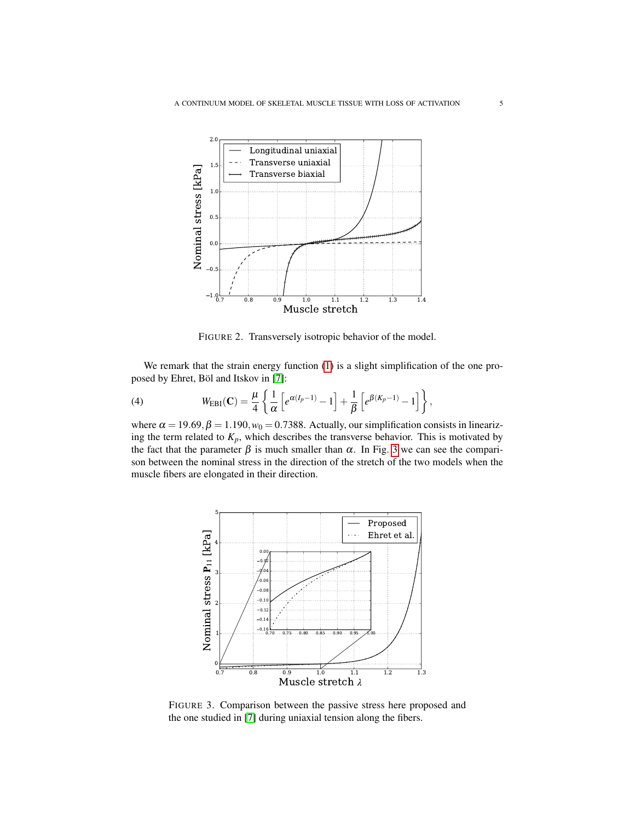

<span id="page-4-0"></span>FIGURE 2. Transversely isotropic behavior of the model.

We remark that the strain energy function [\(1\)](#page-2-0) is a slight simplification of the one pro-posed by Ehret, Böl and Itskov in [\[7\]](#page-15-2):

(4) 
$$
W_{\text{EBI}}(\mathbf{C}) = \frac{\mu}{4} \left\{ \frac{1}{\alpha} \left[ e^{\alpha(I_p - 1)} - 1 \right] + \frac{1}{\beta} \left[ e^{\beta(K_p - 1)} - 1 \right] \right\},
$$

where  $\alpha = 19.69$ ,  $\beta = 1.190$ ,  $w_0 = 0.7388$ . Actually, our simplification consists in linearizing the term related to  $K_p$ , which describes the transverse behavior. This is motivated by the fact that the parameter  $\beta$  is much smaller than  $\alpha$ . In Fig. [3](#page-4-1) we can see the comparison between the nominal stress in the direction of the stretch of the two models when the muscle fibers are elongated in their direction.



<span id="page-4-1"></span>FIGURE 3. Comparison between the passive stress here proposed and the one studied in [\[7\]](#page-15-2) during uniaxial tension along the fibers.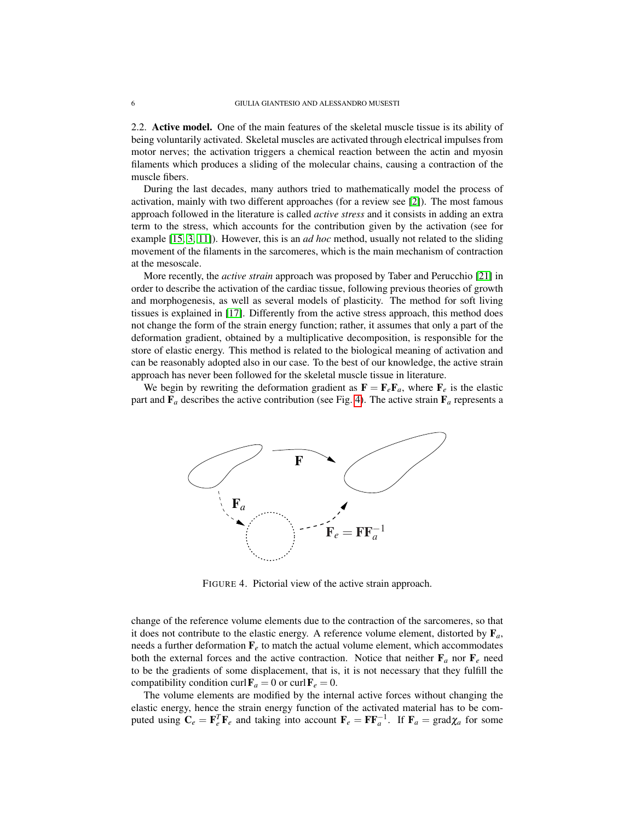<span id="page-5-0"></span>2.2. Active model. One of the main features of the skeletal muscle tissue is its ability of being voluntarily activated. Skeletal muscles are activated through electrical impulses from motor nerves; the activation triggers a chemical reaction between the actin and myosin filaments which produces a sliding of the molecular chains, causing a contraction of the muscle fibers.

During the last decades, many authors tried to mathematically model the process of activation, mainly with two different approaches (for a review see [\[2\]](#page-14-0)). The most famous approach followed in the literature is called *active stress* and it consists in adding an extra term to the stress, which accounts for the contribution given by the activation (see for example [\[15,](#page-15-12) [3,](#page-14-1) [11\]](#page-15-3)). However, this is an *ad hoc* method, usually not related to the sliding movement of the filaments in the sarcomeres, which is the main mechanism of contraction at the mesoscale.

More recently, the *active strain* approach was proposed by Taber and Perucchio [\[21\]](#page-15-13) in order to describe the activation of the cardiac tissue, following previous theories of growth and morphogenesis, as well as several models of plasticity. The method for soft living tissues is explained in [\[17\]](#page-15-14). Differently from the active stress approach, this method does not change the form of the strain energy function; rather, it assumes that only a part of the deformation gradient, obtained by a multiplicative decomposition, is responsible for the store of elastic energy. This method is related to the biological meaning of activation and can be reasonably adopted also in our case. To the best of our knowledge, the active strain approach has never been followed for the skeletal muscle tissue in literature.

We begin by rewriting the deformation gradient as  $\mathbf{F} = \mathbf{F}_e \mathbf{F}_a$ , where  $\mathbf{F}_e$  is the elastic part and  $\mathbf{F}_a$  describes the active contribution (see Fig. [4\)](#page-5-1). The active strain  $\mathbf{F}_a$  represents a



<span id="page-5-1"></span>FIGURE 4. Pictorial view of the active strain approach.

change of the reference volume elements due to the contraction of the sarcomeres, so that it does not contribute to the elastic energy. A reference volume element, distorted by F*a*, needs a further deformation  $\mathbf{F}_e$  to match the actual volume element, which accommodates both the external forces and the active contraction. Notice that neither  $\mathbf{F}_a$  nor  $\mathbf{F}_e$  need to be the gradients of some displacement, that is, it is not necessary that they fulfill the compatibility condition curl  $\mathbf{F}_a = 0$  or curl  $\mathbf{F}_e = 0$ .

The volume elements are modified by the internal active forces without changing the elastic energy, hence the strain energy function of the activated material has to be computed using  $C_e = F_e^T F_e$  and taking into account  $F_e = F F_a^{-1}$ . If  $F_a = \text{grad}\chi_a$  for some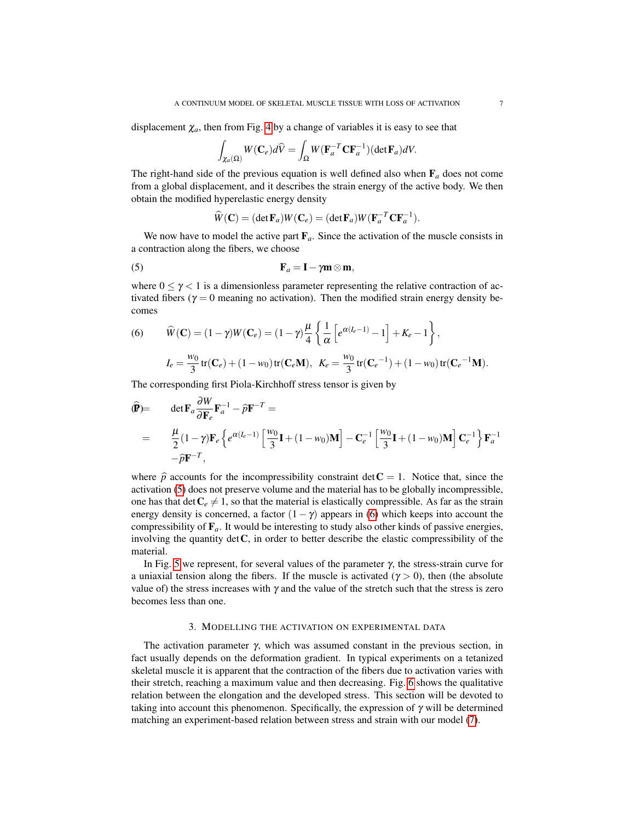displacement  $\chi_a$ , then from Fig. [4](#page-5-1) by a change of variables it is easy to see that

$$
\int_{\chi_a(\Omega)} W(\mathbf{C}_e) d\widehat{V} = \int_{\Omega} W(\mathbf{F}_a^{-T} \mathbf{C} \mathbf{F}_a^{-1}) (\det \mathbf{F}_a) dV.
$$

The right-hand side of the previous equation is well defined also when  $\mathbf{F}_a$  does not come from a global displacement, and it describes the strain energy of the active body. We then obtain the modified hyperelastic energy density

<span id="page-6-0"></span>
$$
\widehat{W}(\mathbf{C}) = (\det \mathbf{F}_a) W(\mathbf{C}_e) = (\det \mathbf{F}_a) W(\mathbf{F}_a^{-T} \mathbf{C} \mathbf{F}_a^{-1}).
$$

We now have to model the active part  $\mathbf{F}_a$ . Since the activation of the muscle consists in a contraction along the fibers, we choose

(5) 
$$
\mathbf{F}_a = \mathbf{I} - \gamma \mathbf{m} \otimes \mathbf{m},
$$

where  $0 \le \gamma < 1$  is a dimensionless parameter representing the relative contraction of activated fibers ( $\gamma = 0$  meaning no activation). Then the modified strain energy density becomes

<span id="page-6-1"></span>(6) 
$$
\widehat{W}(\mathbf{C}) = (1 - \gamma)W(\mathbf{C}_e) = (1 - \gamma)\frac{\mu}{4} \left\{ \frac{1}{\alpha} \left[ e^{\alpha(I_e - 1)} - 1 \right] + K_e - 1 \right\},
$$

$$
I_e = \frac{w_0}{3} tr(\mathbf{C}_e) + (1 - w_0) tr(\mathbf{C}_e \mathbf{M}), \ \ K_e = \frac{w_0}{3} tr(\mathbf{C}_e^{-1}) + (1 - w_0) tr(\mathbf{C}_e^{-1} \mathbf{M}).
$$

The corresponding first Piola-Kirchhoff stress tensor is given by

<span id="page-6-2"></span>
$$
\widehat{\mathbf{F}} = \det \mathbf{F}_a \frac{\partial W}{\partial \mathbf{F}_e} \mathbf{F}_a^{-1} - \widehat{p} \mathbf{F}^{-T} =
$$
\n
$$
= \frac{\mu}{2} (1 - \gamma) \mathbf{F}_e \left\{ e^{\alpha (I_e - 1)} \left[ \frac{w_0}{3} \mathbf{I} + (1 - w_0) \mathbf{M} \right] - \mathbf{C}_e^{-1} \left[ \frac{w_0}{3} \mathbf{I} + (1 - w_0) \mathbf{M} \right] \mathbf{C}_e^{-1} \right\} \mathbf{F}_a^{-1}
$$
\n
$$
- \widehat{p} \mathbf{F}^{-T},
$$

where  $\hat{p}$  accounts for the incompressibility constraint det **C** = 1. Notice that, since the activation [\(5\)](#page-6-0) does not preserve volume and the material has to be globally incompressible, one has that det  $C_e \neq 1$ , so that the material is elastically compressible. As far as the strain energy density is concerned, a factor  $(1 - \gamma)$  appears in [\(6\)](#page-6-1) which keeps into account the compressibility of F*a*. It would be interesting to study also other kinds of passive energies, involving the quantity det $C$ , in order to better describe the elastic compressibility of the material.

In Fig. [5](#page-7-0) we represent, for several values of the parameter  $\gamma$ , the stress-strain curve for a uniaxial tension along the fibers. If the muscle is activated ( $\gamma > 0$ ), then (the absolute value of) the stress increases with  $\gamma$  and the value of the stretch such that the stress is zero becomes less than one.

## 3. MODELLING THE ACTIVATION ON EXPERIMENTAL DATA

The activation parameter  $\gamma$ , which was assumed constant in the previous section, in fact usually depends on the deformation gradient. In typical experiments on a tetanized skeletal muscle it is apparent that the contraction of the fibers due to activation varies with their stretch, reaching a maximum value and then decreasing. Fig. [6](#page-8-0) shows the qualitative relation between the elongation and the developed stress. This section will be devoted to taking into account this phenomenon. Specifically, the expression of  $\gamma$  will be determined matching an experiment-based relation between stress and strain with our model [\(7\)](#page-6-2).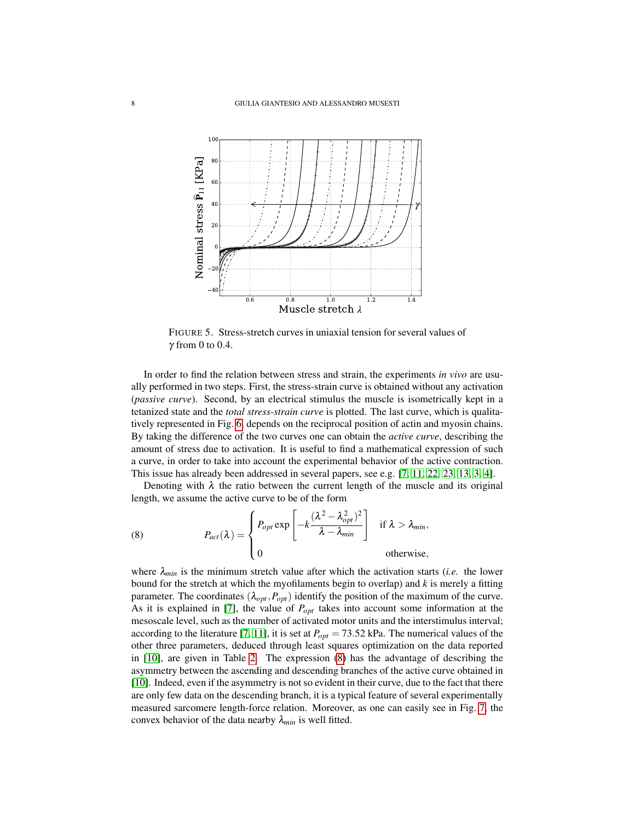

<span id="page-7-0"></span>FIGURE 5. Stress-stretch curves in uniaxial tension for several values of  $γ$  from 0 to 0.4.

In order to find the relation between stress and strain, the experiments *in vivo* are usually performed in two steps. First, the stress-strain curve is obtained without any activation (*passive curve*). Second, by an electrical stimulus the muscle is isometrically kept in a tetanized state and the *total stress-strain curve* is plotted. The last curve, which is qualitatively represented in Fig. [6,](#page-8-0) depends on the reciprocal position of actin and myosin chains. By taking the difference of the two curves one can obtain the *active curve*, describing the amount of stress due to activation. It is useful to find a mathematical expression of such a curve, in order to take into account the experimental behavior of the active contraction. This issue has already been addressed in several papers, see e.g. [\[7,](#page-15-2) [11,](#page-15-3) [22,](#page-15-15) [23,](#page-15-16) [13,](#page-15-17) [3,](#page-14-1) [4\]](#page-15-4).

Denoting with  $\lambda$  the ratio between the current length of the muscle and its original length, we assume the active curve to be of the form

<span id="page-7-1"></span>(8) 
$$
P_{act}(\lambda) = \begin{cases} P_{opt} \exp \left[ -k \frac{(\lambda^2 - \lambda_{opt}^2)^2}{\lambda - \lambda_{min}} \right] & \text{if } \lambda > \lambda_{min}, \\ 0 & \text{otherwise}, \end{cases}
$$

where  $\lambda_{min}$  is the minimum stretch value after which the activation starts (*i.e.* the lower bound for the stretch at which the myofilaments begin to overlap) and *k* is merely a fitting parameter. The coordinates  $(\lambda_{opt}, P_{opt})$  identify the position of the maximum of the curve. As it is explained in [\[7\]](#page-15-2), the value of *Popt* takes into account some information at the mesoscale level, such as the number of activated motor units and the interstimulus interval; according to the literature [\[7,](#page-15-2) [11\]](#page-15-3), it is set at  $P_{opt} = 73.52 \text{ kPa}$ . The numerical values of the other three parameters, deduced through least squares optimization on the data reported in [\[10\]](#page-15-8), are given in Table [2.](#page-8-1) The expression [\(8\)](#page-7-1) has the advantage of describing the asymmetry between the ascending and descending branches of the active curve obtained in [\[10\]](#page-15-8). Indeed, even if the asymmetry is not so evident in their curve, due to the fact that there are only few data on the descending branch, it is a typical feature of several experimentally measured sarcomere length-force relation. Moreover, as one can easily see in Fig. [7,](#page-8-2) the convex behavior of the data nearby  $\lambda_{min}$  is well fitted.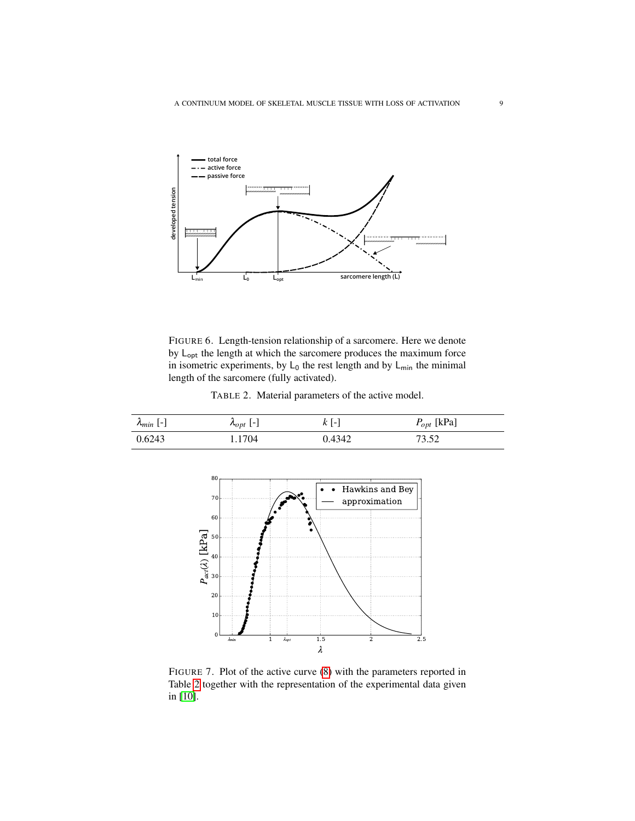

<span id="page-8-0"></span>FIGURE 6. Length-tension relationship of a sarcomere. Here we denote by L<sub>opt</sub> the length at which the sarcomere produces the maximum force in isometric experiments, by  $L_0$  the rest length and by  $L_{min}$  the minimal length of the sarcomere (fully activated).

<span id="page-8-1"></span>TABLE 2. Material parameters of the active model.

| $\lambda_{min}$ [-] | $\lambda_{opt}$ [-] | $K$  - | $P_{opt}$ [kPa] |
|---------------------|---------------------|--------|-----------------|
| 0.6243              | .1704               | 9.4342 | 72 50           |



<span id="page-8-2"></span>FIGURE 7. Plot of the active curve [\(8\)](#page-7-1) with the parameters reported in Table [2](#page-8-1) together with the representation of the experimental data given in [\[10\]](#page-15-8).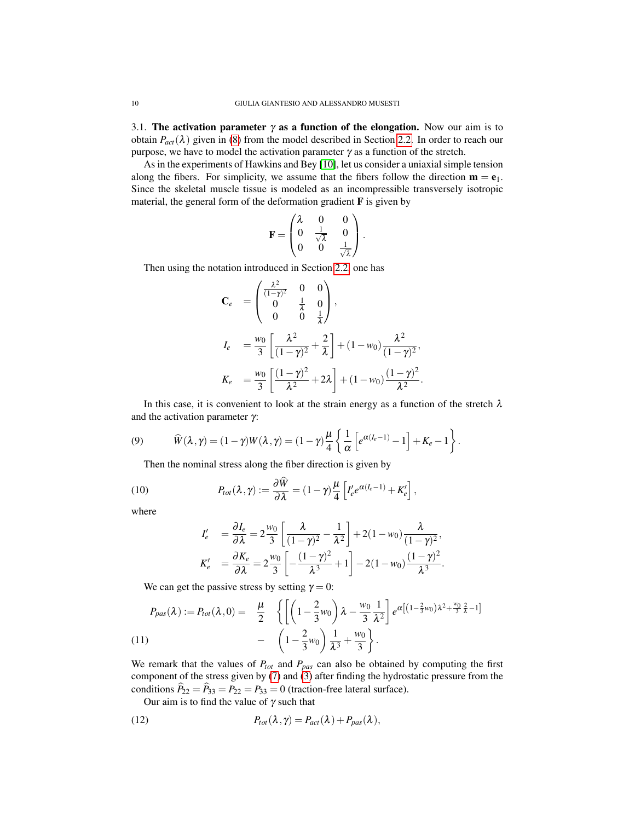<span id="page-9-0"></span>3.1. The activation parameter  $\gamma$  as a function of the elongation. Now our aim is to obtain  $P_{act}(\lambda)$  given in [\(8\)](#page-7-1) from the model described in Section [2.2.](#page-5-0) In order to reach our purpose, we have to model the activation parameter  $\gamma$  as a function of the stretch.

As in the experiments of Hawkins and Bey [\[10\]](#page-15-8), let us consider a uniaxial simple tension along the fibers. For simplicity, we assume that the fibers follow the direction  $\mathbf{m} = \mathbf{e}_1$ . Since the skeletal muscle tissue is modeled as an incompressible transversely isotropic material, the general form of the deformation gradient  $F$  is given by

$$
\mathbf{F} = \begin{pmatrix} \lambda & 0 & 0 \\ 0 & \frac{1}{\sqrt{\lambda}} & 0 \\ 0 & 0 & \frac{1}{\sqrt{\lambda}} \end{pmatrix}.
$$

Then using the notation introduced in Section [2.2,](#page-5-0) one has

$$
\mathbf{C}_{e} = \begin{pmatrix} \frac{\lambda^{2}}{(1-\gamma)^{2}} & 0 & 0\\ 0 & \frac{1}{\lambda} & 0\\ 0 & 0 & \frac{1}{\lambda} \end{pmatrix},
$$
  
\n
$$
I_{e} = \frac{w_{0}}{3} \left[ \frac{\lambda^{2}}{(1-\gamma)^{2}} + \frac{2}{\lambda} \right] + (1-w_{0}) \frac{\lambda^{2}}{(1-\gamma)^{2}},
$$
  
\n
$$
K_{e} = \frac{w_{0}}{3} \left[ \frac{(1-\gamma)^{2}}{\lambda^{2}} + 2\lambda \right] + (1-w_{0}) \frac{(1-\gamma)^{2}}{\lambda^{2}}
$$

.

In this case, it is convenient to look at the strain energy as a function of the stretch  $\lambda$ and the activation parameter  $\gamma$ :

(9) 
$$
\widehat{W}(\lambda, \gamma) = (1 - \gamma)W(\lambda, \gamma) = (1 - \gamma)\frac{\mu}{4}\left\{\frac{1}{\alpha}\left[e^{\alpha(I_e - 1)} - 1\right] + K_e - 1\right\}.
$$

Then the nominal stress along the fiber direction is given by

(10) 
$$
P_{tot}(\lambda, \gamma) := \frac{\partial \widehat{W}}{\partial \lambda} = (1 - \gamma) \frac{\mu}{4} \left[ I'_e e^{\alpha(I_e - 1)} + K'_e \right],
$$

where

$$
I'_e = \frac{\partial I_e}{\partial \lambda} = 2 \frac{w_0}{3} \left[ \frac{\lambda}{(1-\gamma)^2} - \frac{1}{\lambda^2} \right] + 2(1-w_0) \frac{\lambda}{(1-\gamma)^2},
$$
  

$$
K'_e = \frac{\partial K_e}{\partial \lambda} = 2 \frac{w_0}{3} \left[ -\frac{(1-\gamma)^2}{\lambda^3} + 1 \right] - 2(1-w_0) \frac{(1-\gamma)^2}{\lambda^3}.
$$

We can get the passive stress by setting  $\gamma = 0$ :

<span id="page-9-1"></span>
$$
P_{pas}(\lambda) := P_{tot}(\lambda, 0) = \frac{\mu}{2} \left\{ \left[ \left( 1 - \frac{2}{3} w_0 \right) \lambda - \frac{w_0}{3} \frac{1}{\lambda^2} \right] e^{\alpha \left[ \left( 1 - \frac{2}{3} w_0 \right) \lambda^2 + \frac{w_0}{3} \frac{2}{\lambda} - 1 \right]} - \left( 1 - \frac{2}{3} w_0 \right) \frac{1}{\lambda^3} + \frac{w_0}{3} \right\}.
$$

We remark that the values of  $P_{tot}$  and  $P_{pas}$  can also be obtained by computing the first component of the stress given by [\(7\)](#page-6-2) and [\(3\)](#page-3-1) after finding the hydrostatic pressure from the conditions  $\hat{P}_{22} = \hat{P}_{33} = P_{22} = P_{33} = 0$  (traction-free lateral surface).

Our aim is to find the value of  $\gamma$  such that

(12) 
$$
P_{tot}(\lambda, \gamma) = P_{act}(\lambda) + P_{pas}(\lambda),
$$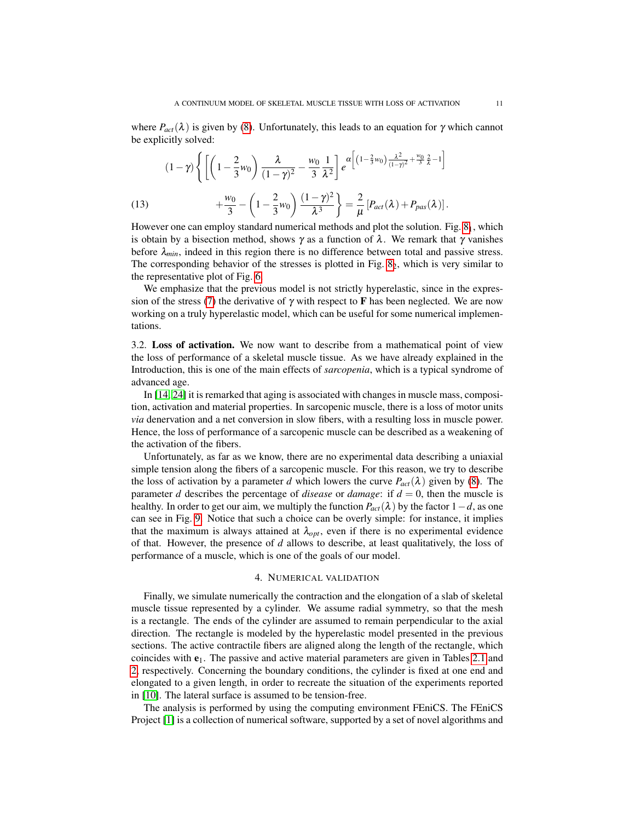where  $P_{act}(\lambda)$  is given by [\(8\)](#page-7-1). Unfortunately, this leads to an equation for  $\gamma$  which cannot be explicitly solved:

<span id="page-10-0"></span>(13) 
$$
(1 - \gamma) \left\{ \left[ \left( 1 - \frac{2}{3} w_0 \right) \frac{\lambda}{(1 - \gamma)^2} - \frac{w_0}{3} \frac{1}{\lambda^2} \right] e^{\alpha \left[ \left( 1 - \frac{2}{3} w_0 \right) \frac{\lambda^2}{(1 - \gamma)^2} + \frac{w_0}{3} \frac{2}{\lambda} - 1 \right]} + \frac{w_0}{3} - \left( 1 - \frac{2}{3} w_0 \right) \frac{(1 - \gamma)^2}{\lambda^3} \right\} = \frac{2}{\mu} \left[ P_{act}(\lambda) + P_{pas}(\lambda) \right].
$$

However one can employ standard numerical methods and plot the solution. Fig. [8](#page-11-0)1, which is obtain by a bisection method, shows  $\gamma$  as a function of  $\lambda$ . We remark that  $\gamma$  vanishes before  $\lambda_{min}$ , indeed in this region there is no difference between total and passive stress. The corresponding behavior of the stresses is plotted in Fig.  $8<sub>2</sub>$ , which is very similar to the representative plot of Fig. [6.](#page-8-0)

We emphasize that the previous model is not strictly hyperelastic, since in the expres-sion of the stress [\(7\)](#page-6-2) the derivative of  $\gamma$  with respect to **F** has been neglected. We are now working on a truly hyperelastic model, which can be useful for some numerical implementations.

<span id="page-10-1"></span>3.2. Loss of activation. We now want to describe from a mathematical point of view the loss of performance of a skeletal muscle tissue. As we have already explained in the Introduction, this is one of the main effects of *sarcopenia*, which is a typical syndrome of advanced age.

In [\[14,](#page-15-18) [24\]](#page-15-19) it is remarked that aging is associated with changes in muscle mass, composition, activation and material properties. In sarcopenic muscle, there is a loss of motor units *via* denervation and a net conversion in slow fibers, with a resulting loss in muscle power. Hence, the loss of performance of a sarcopenic muscle can be described as a weakening of the activation of the fibers.

Unfortunately, as far as we know, there are no experimental data describing a uniaxial simple tension along the fibers of a sarcopenic muscle. For this reason, we try to describe the loss of activation by a parameter *d* which lowers the curve  $P_{act}(\lambda)$  given by [\(8\)](#page-7-1). The parameter *d* describes the percentage of *disease* or *damage*: if *d* = 0, then the muscle is healthy. In order to get our aim, we multiply the function  $P_{act}(\lambda)$  by the factor  $1-d$ , as one can see in Fig. [9.](#page-12-0) Notice that such a choice can be overly simple: for instance, it implies that the maximum is always attained at  $\lambda_{opt}$ , even if there is no experimental evidence of that. However, the presence of *d* allows to describe, at least qualitatively, the loss of performance of a muscle, which is one of the goals of our model.

#### 4. NUMERICAL VALIDATION

<span id="page-10-2"></span>Finally, we simulate numerically the contraction and the elongation of a slab of skeletal muscle tissue represented by a cylinder. We assume radial symmetry, so that the mesh is a rectangle. The ends of the cylinder are assumed to remain perpendicular to the axial direction. The rectangle is modeled by the hyperelastic model presented in the previous sections. The active contractile fibers are aligned along the length of the rectangle, which coincides with  $e_1$ . The passive and active material parameters are given in Tables [2.1](#page-3-1) and [2,](#page-8-1) respectively. Concerning the boundary conditions, the cylinder is fixed at one end and elongated to a given length, in order to recreate the situation of the experiments reported in [\[10\]](#page-15-8). The lateral surface is assumed to be tension-free.

The analysis is performed by using the computing environment FEniCS. The FEniCS Project [\[1\]](#page-14-2) is a collection of numerical software, supported by a set of novel algorithms and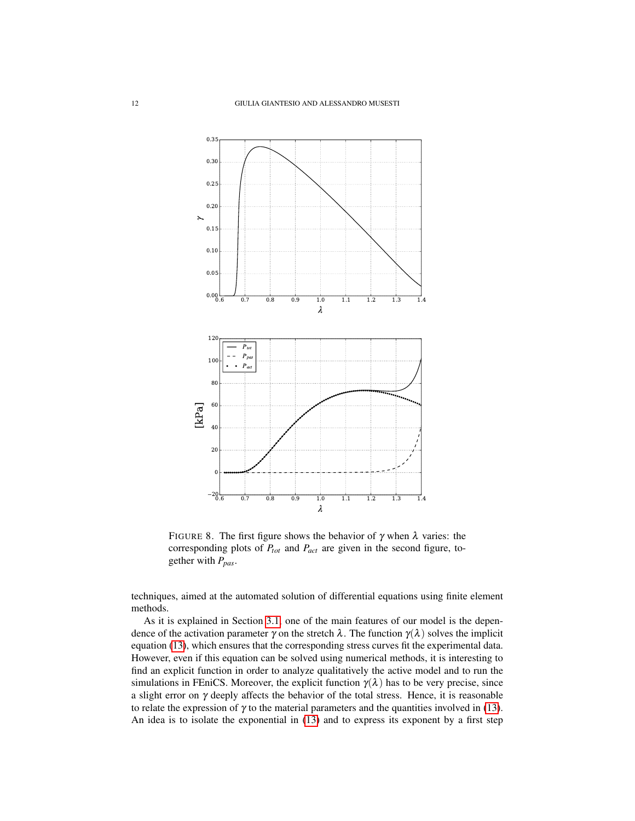

<span id="page-11-0"></span>FIGURE 8. The first figure shows the behavior of  $\gamma$  when  $\lambda$  varies: the corresponding plots of *Ptot* and *Pact* are given in the second figure, together with *Ppas*.

techniques, aimed at the automated solution of differential equations using finite element methods.

As it is explained in Section [3.1,](#page-9-0) one of the main features of our model is the dependence of the activation parameter  $\gamma$  on the stretch  $\lambda$ . The function  $\gamma(\lambda)$  solves the implicit equation [\(13\)](#page-10-0), which ensures that the corresponding stress curves fit the experimental data. However, even if this equation can be solved using numerical methods, it is interesting to find an explicit function in order to analyze qualitatively the active model and to run the simulations in FEniCS. Moreover, the explicit function  $\gamma(\lambda)$  has to be very precise, since a slight error on  $\gamma$  deeply affects the behavior of the total stress. Hence, it is reasonable to relate the expression of  $\gamma$  to the material parameters and the quantities involved in [\(13\)](#page-10-0). An idea is to isolate the exponential in [\(13\)](#page-10-0) and to express its exponent by a first step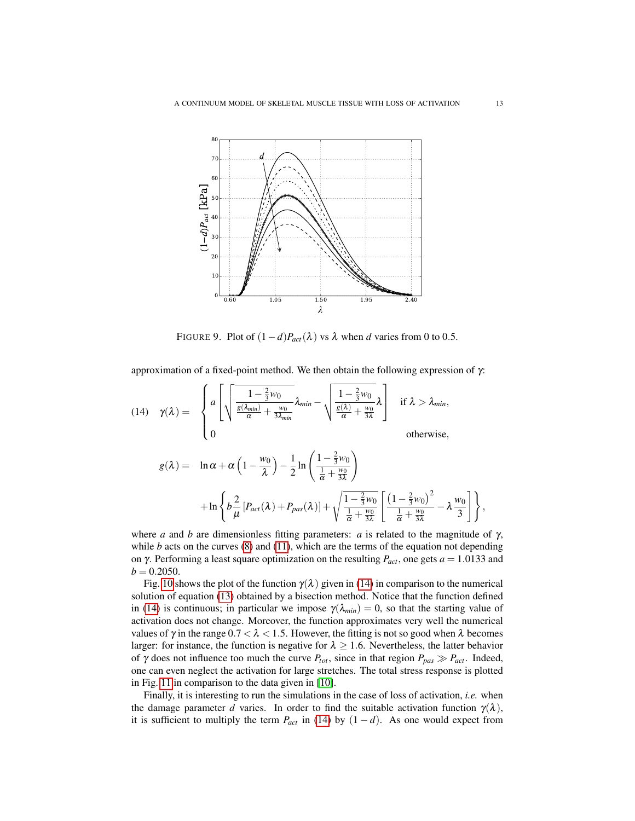

<span id="page-12-0"></span>FIGURE 9. Plot of  $(1-d)P_{act}(\lambda)$  vs  $\lambda$  when *d* varies from 0 to 0.5.

approximation of a fixed-point method. We then obtain the following expression of  $γ$ :

<span id="page-12-1"></span>
$$
(14) \quad \gamma(\lambda) = \begin{cases} a \left[ \sqrt{\frac{1 - \frac{2}{3}w_0}{\alpha} + \frac{w_0}{3\lambda_{min}}} \lambda_{min} - \sqrt{\frac{1 - \frac{2}{3}w_0}{\frac{g(\lambda)}{\alpha} + \frac{w_0}{3\lambda}}} \lambda \right] & \text{if } \lambda > \lambda_{min}, \\ 0 & \text{otherwise}, \end{cases}
$$
\n
$$
g(\lambda) = \ln \alpha + \alpha \left( 1 - \frac{w_0}{\lambda} \right) - \frac{1}{2} \ln \left( \frac{1 - \frac{2}{3}w_0}{\frac{1}{\alpha} + \frac{w_0}{3\lambda}} \right)
$$

λ

$$
+\ln\left\{b\frac{2}{\mu}\left[P_{act}(\lambda)+P_{pas}(\lambda)\right]+\sqrt{\frac{1-\frac{2}{3}w_0}{\frac{1}{\alpha}+\frac{w_0}{3\lambda}}}\left[\frac{\left(1-\frac{2}{3}w_0\right)^2}{\frac{1}{\alpha}+\frac{w_0}{3\lambda}}-\lambda\frac{w_0}{3}\right]\right\},\right\
$$

where *a* and *b* are dimensionless fitting parameters: *a* is related to the magnitude of  $\gamma$ , while *b* acts on the curves [\(8\)](#page-7-1) and [\(11\)](#page-9-1), which are the terms of the equation not depending on γ. Performing a least square optimization on the resulting *Pact*, one gets *a* = 1.0133 and  $b = 0.2050$ .

Fig. [10](#page-13-0) shows the plot of the function  $\gamma(\lambda)$  given in [\(14\)](#page-12-1) in comparison to the numerical solution of equation [\(13\)](#page-10-0) obtained by a bisection method. Notice that the function defined in [\(14\)](#page-12-1) is continuous; in particular we impose  $\gamma(\lambda_{min}) = 0$ , so that the starting value of activation does not change. Moreover, the function approximates very well the numerical values of  $\gamma$  in the range 0.7 <  $\lambda$  < 1.5. However, the fitting is not so good when  $\lambda$  becomes larger: for instance, the function is negative for  $\lambda \geq 1.6$ . Nevertheless, the latter behavior of  $\gamma$  does not influence too much the curve  $P_{tot}$ , since in that region  $P_{pas} \gg P_{act}$ . Indeed, one can even neglect the activation for large stretches. The total stress response is plotted in Fig. [11](#page-13-1) in comparison to the data given in [\[10\]](#page-15-8).

Finally, it is interesting to run the simulations in the case of loss of activation, *i.e.* when the damage parameter *d* varies. In order to find the suitable activation function  $\gamma(\lambda)$ , it is sufficient to multiply the term  $P_{act}$  in [\(14\)](#page-12-1) by  $(1 - d)$ . As one would expect from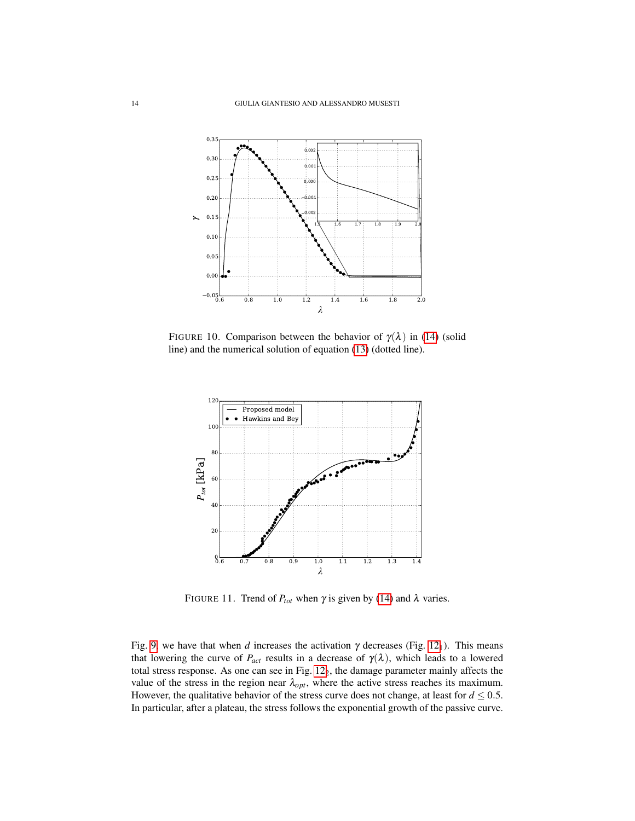

<span id="page-13-0"></span>FIGURE 10. Comparison between the behavior of  $\gamma(\lambda)$  in [\(14\)](#page-12-1) (solid line) and the numerical solution of equation [\(13\)](#page-10-0) (dotted line).



<span id="page-13-1"></span>FIGURE 11. Trend of  $P_{tot}$  when  $\gamma$  is given by [\(14\)](#page-12-1) and  $\lambda$  varies.

Fig. [9,](#page-12-0) we have that when *d* increases the activation  $\gamma$  decreases (Fig. [12](#page-14-3)<sub>1</sub>). This means that lowering the curve of  $P_{act}$  results in a decrease of  $\gamma(\lambda)$ , which leads to a lowered total stress response. As one can see in Fig.  $12<sub>2</sub>$ , the damage parameter mainly affects the value of the stress in the region near  $\lambda_{opt}$ , where the active stress reaches its maximum. However, the qualitative behavior of the stress curve does not change, at least for  $d \leq 0.5$ . In particular, after a plateau, the stress follows the exponential growth of the passive curve.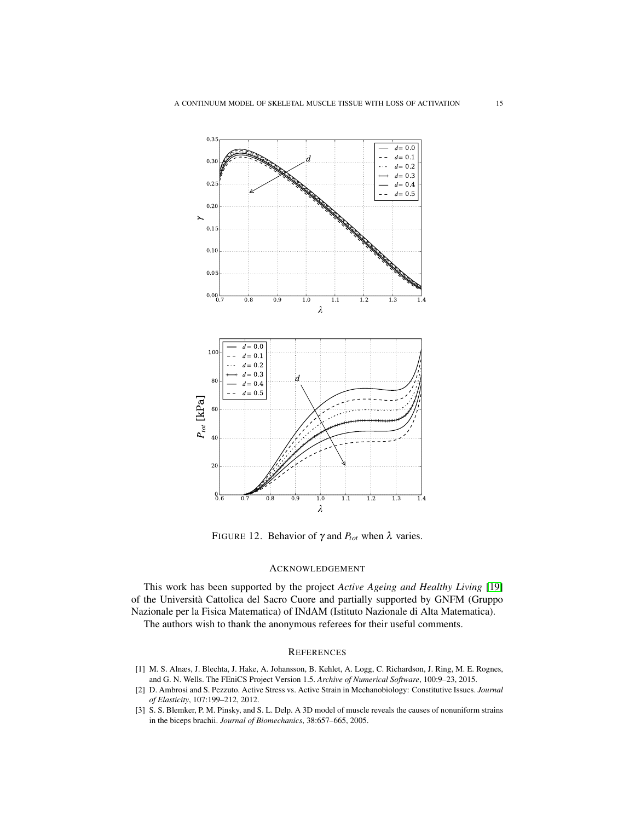

FIGURE 12. Behavior of  $\gamma$  and  $P_{tot}$  when  $\lambda$  varies.

#### <span id="page-14-3"></span>ACKNOWLEDGEMENT

This work has been supported by the project *Active Ageing and Healthy Living* [\[19\]](#page-15-20) of the Universita Cattolica del Sacro Cuore and partially supported by GNFM (Gruppo ` Nazionale per la Fisica Matematica) of INdAM (Istituto Nazionale di Alta Matematica). The authors wish to thank the anonymous referees for their useful comments.

#### **REFERENCES**

- <span id="page-14-2"></span>[1] M. S. Alnæs, J. Blechta, J. Hake, A. Johansson, B. Kehlet, A. Logg, C. Richardson, J. Ring, M. E. Rognes, and G. N. Wells. The FEniCS Project Version 1.5. *Archive of Numerical Software*, 100:9–23, 2015.
- <span id="page-14-0"></span>[2] D. Ambrosi and S. Pezzuto. Active Stress vs. Active Strain in Mechanobiology: Constitutive Issues. *Journal of Elasticity*, 107:199–212, 2012.
- <span id="page-14-1"></span>[3] S. S. Blemker, P. M. Pinsky, and S. L. Delp. A 3D model of muscle reveals the causes of nonuniform strains in the biceps brachii. *Journal of Biomechanics*, 38:657–665, 2005.